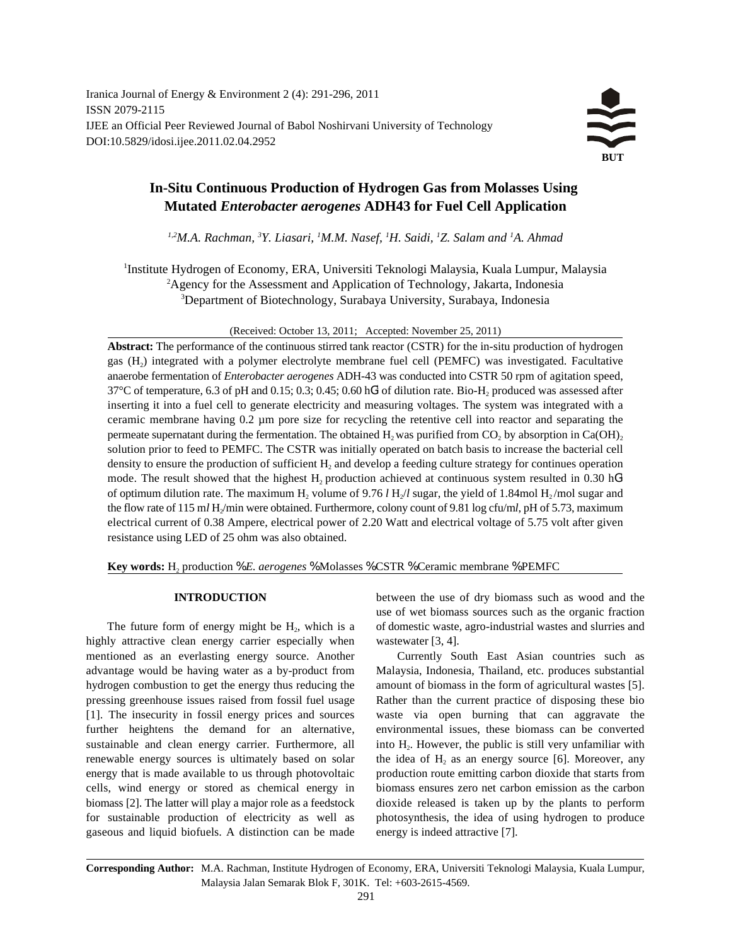Iranica Journal of Energy & Environment 2 (4): 291-296, 2011 ISSN 2079-2115 IJEE an Official Peer Reviewed Journal of Babol Noshirvani University of Technology DOI:10.5829/idosi.ijee.2011.02.04.2952



# **In-Situ Continuous Production of Hydrogen Gas from Molasses Using Mutated** *Enterobacter aerogenes* **ADH43 for Fuel Cell Application**

<sup>1,2</sup>M.A. Rachman, <sup>3</sup>Y. Liasari, <sup>1</sup>M.M. Nasef, <sup>1</sup>H. Saidi, <sup>1</sup>Z. Salam and <sup>1</sup>A. Ahmad

<sup>1</sup>Institute Hydrogen of Economy, ERA, Universiti Teknologi Malaysia, Kuala Lumpur, Malaysia <sup>2</sup>Agency for the Assessment and Application of Technology, Jakarta, Indonesia Department of Biotechnology, Surabaya University, Surabaya, Indonesia <sup>3</sup>

(Received: October 13, 2011; Accepted: November 25, 2011)

**Abstract:** The performance of the continuous stirred tank reactor (CSTR) for the in-situ production of hydrogen gas  $(H<sub>2</sub>)$  integrated with a polymer electrolyte membrane fuel cell (PEMFC) was investigated. Facultative anaerobe fermentation of *Enterobacter aerogenes* ADH-43 was conducted into CSTR 50 rpm of agitation speed, 37°C of temperature, 6.3 of pH and 0.15; 0.3; 0.45; 0.60 hG<sup>1</sup> of dilution rate. Bio-H<sub>2</sub> produced was assessed after inserting it into a fuel cell to generate electricity and measuring voltages. The system was integrated with a ceramic membrane having 0.2 µm pore size for recycling the retentive cell into reactor and separating the permeate supernatant during the fermentation. The obtained  $H_2$  was purified from CO<sub>2</sub> by absorption in Ca(OH)<sub>2</sub> solution prior to feed to PEMFC. The CSTR was initially operated on batch basis to increase the bacterial cell density to ensure the production of sufficient  $H_2$  and develop a feeding culture strategy for continues operation mode. The result showed that the highest  $H_2$  production achieved at continuous system resulted in 0.30 hG<sup>1</sup> of optimum dilution rate. The maximum  $H_2$  volume of 9.76 *l*  $H_2/l$  sugar, the yield of 1.84mol  $H_2/m$ ol sugar and the flow rate of 115 m*l* H<sub>2</sub>/min were obtained. Furthermore, colony count of 9.81 log cfu/m*l*, pH of 5.73, maximum electrical current of 0.38 Ampere, electrical power of 2.20 Watt and electrical voltage of 5.75 volt after given resistance using LED of 25 ohm was also obtained.

**Key words:** H<sub>2</sub> production % *E. aerogenes* % Molasses % CSTR % Ceramic membrane % PEMFC

The future form of energy might be  $H_2$ , which is a highly attractive clean energy carrier especially when wastewater [3, 4]. mentioned as an everlasting energy source. Another Currently South East Asian countries such as advantage would be having water as a by-product from Malaysia, Indonesia, Thailand, etc. produces substantial hydrogen combustion to get the energy thus reducing the amount of biomass in the form of agricultural wastes [5]. pressing greenhouse issues raised from fossil fuel usage Rather than the current practice of disposing these bio [1]. The insecurity in fossil energy prices and sources waste via open burning that can aggravate the further heightens the demand for an alternative, environmental issues, these biomass can be converted sustainable and clean energy carrier. Furthermore, all renewable energy sources is ultimately based on solar energy that is made available to us through photovoltaic production route emitting carbon dioxide that starts from cells, wind energy or stored as chemical energy in biomass ensures zero net carbon emission as the carbon biomass [2]. The latter will play a major role as a feedstock dioxide released is taken up by the plants to perform for sustainable production of electricity as well as photosynthesis, the idea of using hydrogen to produce gaseous and liquid biofuels. A distinction can be made energy is indeed attractive [7].

**INTRODUCTION** between the use of dry biomass such as wood and the of domestic waste, agro-industrial wastes and slurries and use of wet biomass sources such as the organic fraction

> into H<sub>2</sub>. However, the public is still very unfamiliar with the idea of  $H_2$  as an energy source [6]. Moreover, any

**Corresponding Author:** M.A. Rachman, Institute Hydrogen of Economy, ERA, Universiti Teknologi Malaysia, Kuala Lumpur, Malaysia Jalan Semarak Blok F, 301K. Tel: +603-2615-4569.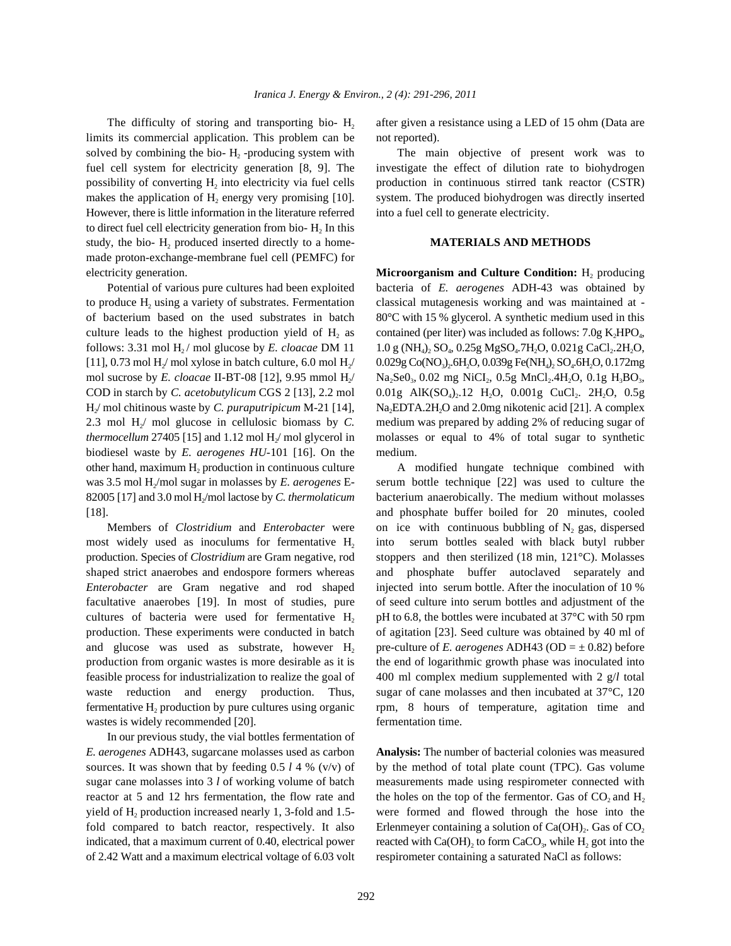limits its commercial application. This problem can be not reported). solved by combining the bio- $H_2$ -producing system with fuel cell system for electricity generation [8, 9]. The investigate the effect of dilution rate to biohydrogen possibility of converting  $H_2$  into electricity via fuel cells production in continuous stirred tank reactor (CSTR) makes the application of  $H_2$  energy very promising [10]. However, there is little information in the literature referred into a fuel cell to generate electricity. to direct fuel cell electricity generation from bio- $H_2$  In this study, the bio- H<sub>2</sub> produced inserted directly to a home-**MATERIALS AND METHODS** made proton-exchange-membrane fuel cell (PEMFC) for electricity generation. **Microorganism and Culture Condition:** H<sub>2</sub> producing

to produce  $H_2$  using a variety of substrates. Fermentation classical mutagenesis working and was maintained at of bacterium based on the used substrates in batch 80°C with 15 % glycerol. A synthetic medium used in this [11], 0.73 mol  $H_2$  mol xylose in batch culture, 6.0 mol  $H_2$  $H_2$  mol chitinous waste by C. puraputripicum M-21 [14], *thermocellum* 27405 [15] and 1.12 mol  $H$ <sub>/</sub> mol glycerol in biodiesel waste by *E. aerogenes HU-*101 [16]. On the medium. other hand, maximum H<sub>2</sub> production in continuous culture was 3.5 mol  $H_2$ /mol sugar in molasses by E. *aerogenes* E-82005 [17] and 3.0 mol  $H_2$ /mol lactose by C. thermolaticum [18]. and phosphate buffer boiled for 20 minutes, cooled

most widely used as inoculums for fermentative H<sub>2</sub> into serum bottles sealed with black butyl rubber production. Species of *Clostridium* are Gram negative, rod stoppers and then sterilized (18 min, 121°C). Molasses shaped strict anaerobes and endospore formers whereas and phosphate buffer autoclaved separately and *Enterobacter* are Gram negative and rod shaped injected into serum bottle. After the inoculation of 10 % facultative anaerobes [19]. In most of studies, pure of seed culture into serum bottles and adjustment of the cultures of bacteria were used for fermentative  $H_2$  pH to 6.8, the bottles were incubated at 37°C with 50 rpm production. These experiments were conducted in batch of agitation [23]. Seed culture was obtained by 40 ml of and glucose was used as substrate, however H<sub>2</sub> pre-culture of *E. aerogenes* ADH43 (OD =  $\pm$  0.82) before production from organic wastes is more desirable as it is the end of logarithmic growth phase was inoculated into feasible process for industrialization to realize the goal of 400 ml complex medium supplemented with 2 g/*l* total waste reduction and energy production. Thus, sugar of cane molasses and then incubated at 37<sup>°</sup>C, 120 fermentative  $H_2$  production by pure cultures using organic wastes is widely recommended [20]. fermentation time.

In our previous study, the vial bottles fermentation of *E. aerogenes* ADH43, sugarcane molasses used as carbon **Analysis:** The number of bacterial colonies was measured sources. It was shown that by feeding  $0.5 l 4 %$  (v/v) of by the method of total plate count (TPC). Gas volume sugar cane molasses into 3 *l* of working volume of batch measurements made using respirometer connected with reactor at 5 and 12 hrs fermentation, the flow rate and yield of H<sub>2</sub> production increased nearly 1, 3-fold and 1.5fold compared to batch reactor, respectively. It also indicated, that a maximum current of 0.40, electrical power reacted with  $Ca(OH)_2$  to form  $CaCO_3$ , while  $H_2$  got into the of 2.42 Watt and a maximum electrical voltage of 6.03 volt respirometer containing a saturated NaCl as follows:

The difficulty of storing and transporting bio-  $H_2$  after given a resistance using a LED of 15 ohm (Data are

The main objective of present work was to system. The produced biohydrogen was directly inserted

Potential of various pure cultures had been exploited bacteria of *E. aerogenes* ADH-43 was obtained by culture leads to the highest production yield of  $H_2$  as contained (per liter) was included as follows: 7.0g K<sub>2</sub>HPO<sub>4</sub>, follows: 3.31 mol H<sub>2</sub>/ mol glucose by *E. cloacae* DM  $11 \t1.0$  g (NH<sub>4</sub>)<sub>2</sub> SO<sub>4</sub>, 0.25g MgSO<sub>4</sub>.7H<sub>2</sub>O, 0.021g CaCl<sub>2</sub>.2H<sub>2</sub>O,  $/ 0.029$ g Co(NO<sub>3</sub>)<sub>2</sub>.6H<sub>2</sub>O, 0.039g Fe(NH<sub>4</sub>)<sub>2</sub> SO<sub>4</sub>.6H<sub>2</sub>O, 0.172mg mol sucrose by *E. cloacae* II-BT-08 [12], 9.95 mmol H<sub>2</sub>/ Na<sub>2</sub>Se0<sub>3</sub>, 0.02 mg NiCI<sub>2</sub>, 0.5g MnCl<sub>2</sub>.4H<sub>2</sub>O, 0.1g H<sub>3</sub>BO<sub>3</sub>, COD in starch by *C. acetobutylicum* CGS 2 [13], 2.2 mol  $0.01g$  AlK(SO<sub>4</sub>)<sub>2</sub>.12 H<sub>2</sub>O, 0.001g CuCl<sub>2</sub>. 2H<sub>2</sub>O, 0.5g / mol chitinous waste by *C. puraputripicum* M-21 [14], Na<sub>2</sub>EDTA.2H<sub>2</sub>O and 2.0mg nikotenic acid [21]. A complex 2.3 mol H<sub>/</sub> mol glucose in cellulosic biomass by *C*. medium was prepared by adding 2% of reducing sugar of molasses or equal to 4% of total sugar to synthetic

A modified hungate technique combined with serum bottle technique [22] was used to culture the bacterium anaerobically. The medium without molasses Members of *Clostridium* and *Enterobacter* were on ice with continuous bubbling of N<sub>2</sub> gas, dispersed rpm, 8 hours of temperature, agitation time and

> were formed and flowed through the hose into the the holes on the top of the fermentor. Gas of  $CO$ , and  $H_2$ Erlenmeyer containing a solution of Ca(OH)<sub>2</sub>. Gas of CO<sub>2</sub>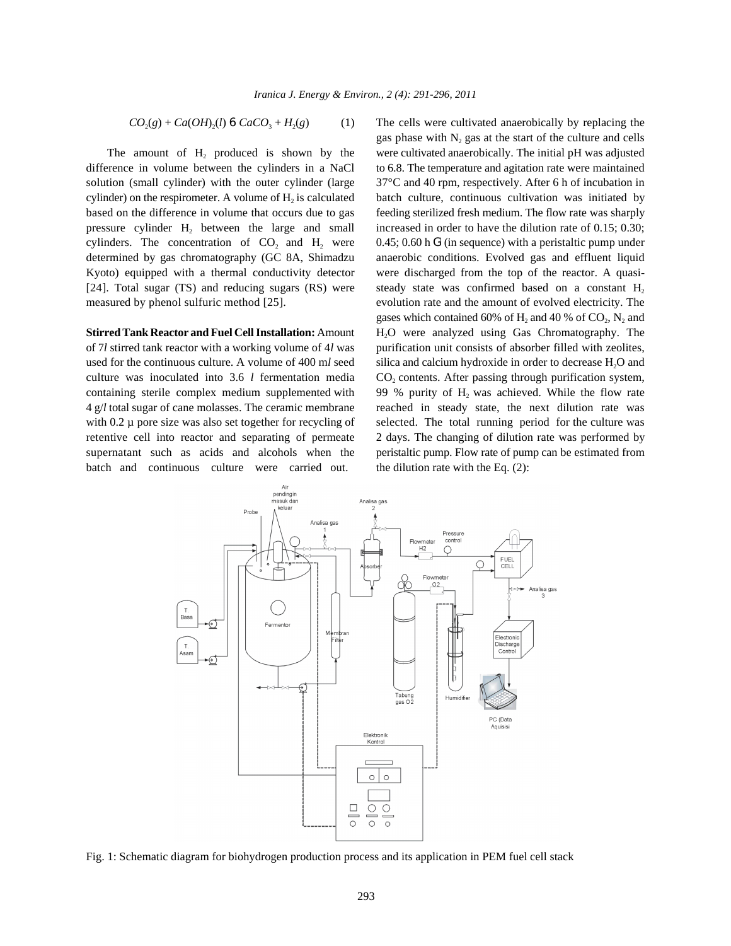$$
CO_2(g) + Ca(OH)_2(l) 6 CaCO_3 + H_2(g) \tag{1}
$$

The amount of  $H_2$  produced is shown by the difference in volume between the cylinders in a NaCl to 6.8. The temperature and agitation rate were maintained solution (small cylinder) with the outer cylinder (large 37°C and 40 rpm, respectively. After 6 h of incubation in cylinder) on the respirometer. A volume of  $H_2$  is calculated based on the difference in volume that occurs due to gas feeding sterilized fresh medium. The flow rate was sharply pressure cylinder  $H_2$  between the large and small increased in order to have the dilution rate of 0.15; 0.30; cylinders. The concentration of  $CO<sub>2</sub>$  and  $H<sub>2</sub>$  were determined by gas chromatography (GC 8A, Shimadzu anaerobic conditions. Evolved gas and effluent liquid Kyoto) equipped with a thermal conductivity detector were discharged from the top of the reactor. A quasi- [24]. Total sugar (TS) and reducing sugars  $(RS)$  were measured by phenol sulfuric method [25]. evolution rate and the amount of evolved electricity. The

of 7*l* stirred tank reactor with a working volume of 4*l* was purification unit consists of absorber filled with zeolites, used for the continuous culture. A volume of 400 ml seed silica and calcium hydroxide in order to decrease H<sub>2</sub>O and culture was inoculated into 3.6 *l* fermentation media  $CO_2$  contents. After passing through purification system, containing sterile complex medium supplemented with 99 % purity of  $H_2$  was achieved. While the flow rate 4 g/*l* total sugar of cane molasses. The ceramic membrane reached in steady state, the next dilution rate was with 0.2 µ pore size was also set together for recycling of selected. The total running period for the culture was retentive cell into reactor and separating of permeate 2 days. The changing of dilution rate was performed by supernatant such as acids and alcohols when the peristaltic pump. Flow rate of pump can be estimated from batch and continuous culture were carried out. the dilution rate with the Eq. (2):

The cells were cultivated anaerobically by replacing the were cultivated anaerobically. The initial pH was adjusted batch culture, continuous cultivation was initiated by **Stirred Tank Reactor and Fuel Cell Installation:** Amount H<sub>2</sub>O were analyzed using Gas Chromatography. The gas phase with  $N_2$  gas at the start of the culture and cells 0.45; 0.60 h  $G<sup>1</sup>$  (in sequence) with a peristaltic pump under steady state was confirmed based on a constant  $H_2$ gases which contained 60% of  $H_2$  and 40 % of  $CO_2$ ,  $N_2$  and



Fig. 1: Schematic diagram for biohydrogen production process and its application in PEM fuel cell stack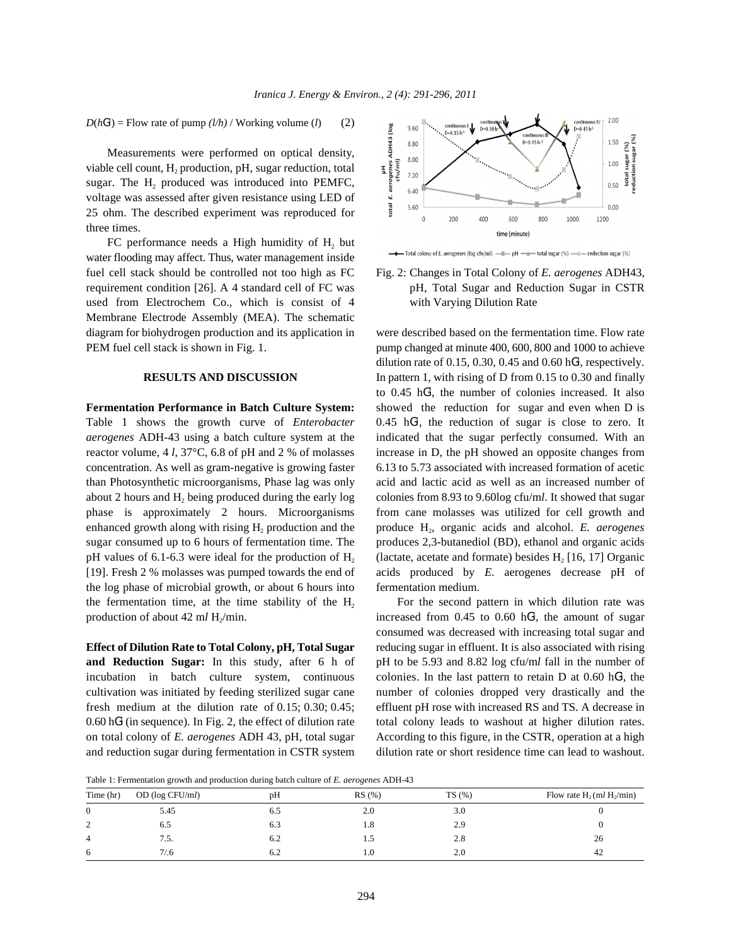$D(hG^{1})$  = Flow rate of pump  $(l/h)$  / Working volume  $(l)$  (2)

Measurements were performed on optical density, viable cell count,  $H_2$  production, pH, sugar reduction, total sugar. The  $H_2$  produced was introduced into PEMFC, voltage was assessed after given resistance using LED of 25 ohm. The described experiment was reproduced for three times.

FC performance needs a High humidity of  $H<sub>2</sub>$  but water flooding may affect. Thus, water management inside used from Electrochem Co., which is consist of 4 with Varying Dilution Rate Membrane Electrode Assembly (MEA). The schematic diagram for biohydrogen production and its application in were described based on the fermentation time. Flow rate

Table 1 shows the growth curve of *Enterobacter aerogenes* ADH-43 using a batch culture system at the indicated that the sugar perfectly consumed. With an reactor volume, 4 *l*, 37°C, 6.8 of pH and 2 % of molasses increase in D, the pH showed an opposite changes from concentration. As well as gram-negative is growing faster 6.13 to 5.73 associated with increased formation of acetic than Photosynthetic microorganisms, Phase lag was only acid and lactic acid as well as an increased number of about 2 hours and H<sub>2</sub> being produced during the early log colonies from 8.93 to 9.60log cfu/ml. It showed that sugar phase is approximately 2 hours. Microorganisms from cane molasses was utilized for cell growth and enhanced growth along with rising  $H<sub>2</sub>$  production and the sugar consumed up to 6 hours of fermentation time. The produces 2,3-butanediol (BD), ethanol and organic acids pH values of 6.1-6.3 were ideal for the production of  $H_2$ [19]. Fresh 2 % molasses was pumped towards the end of acids produced by *E.* aerogenes decrease pH of the log phase of microbial growth, or about 6 hours into fermentation medium. the fermentation time, at the time stability of the H<sub>2</sub> For the second pattern in which dilution rate was

**and Reduction Sugar:** In this study, after 6 h of pH to be 5.93 and 8.82 log cfu/m*l* fall in the number of incubation in batch culture system, continuous colonies. In the last pattern to retain  $D$  at 0.60 hG<sup>1</sup>, the cultivation was initiated by feeding sterilized sugar cane number of colonies dropped very drastically and the fresh medium at the dilution rate of 0.15; 0.30; 0.45; effluent pH rose with increased RS and TS. A decrease in  $0.60$  hG<sup>1</sup> (in sequence). In Fig. 2, the effect of dilution rate on total colony of *E. aerogenes* ADH 43, pH, total sugar According to this figure, in the CSTR, operation at a high and reduction sugar during fermentation in CSTR system dilution rate or short residence time can lead to washout.





PEM fuel cell stack is shown in Fig. 1. pump changed at minute 400, 600, 800 and 1000 to achieve **RESULTS AND DISCUSSION** In pattern 1, with rising of D from 0.15 to 0.30 and finally **Fermentation Performance in Batch Culture System:** showed the reduction for sugar and even when D is production and the produce H<sub>2</sub>, organic acids and alcohol. *E. aerogenes* (lactate, acetate and formate) besides  $H_2$  [16, 17] Organic dilution rate of 0.15, 0.30, 0.45 and 0.60  $hG<sup>1</sup>$ , respectively. to  $0.45 \text{ hG}^1$ , the number of colonies increased. It also  $0.45$  hG<sup>1</sup>, the reduction of sugar is close to zero. It

production of about  $42 \text{ m}/\text{H}_2/\text{min}$ . increased from 0.45 to 0.60 hG<sup>1</sup>, the amount of sugar **Effect of Dilution Rate to Total Colony, pH, Total Sugar** reducing sugar in effluent. It is also associated with rising total colony leads to washout at higher dilution rates. consumed was decreased with increasing total sugar and

Table 1: Fermentation growth and production during batch culture of *E. aerogenes* ADH-43

| Time (hr)      | OD (log CFU/ml) | pH  | RS(%) | TS(%) | Flow rate $H_2$ (ml $H_2$ /min) |
|----------------|-----------------|-----|-------|-------|---------------------------------|
| $\mathbf{0}$   | 5.45            | 6.5 | 2.0   | 3.0   |                                 |
| ↑<br>∼         | 6.5             | 6.3 | 1.8   | 2.9   |                                 |
| $\overline{4}$ | 7.5.            | 6.2 | L.)   | 2.8   | 26                              |
| 6              | 7/0.6           | 6.2 | 1.0   | 2.0   | 42                              |
|                |                 |     |       |       |                                 |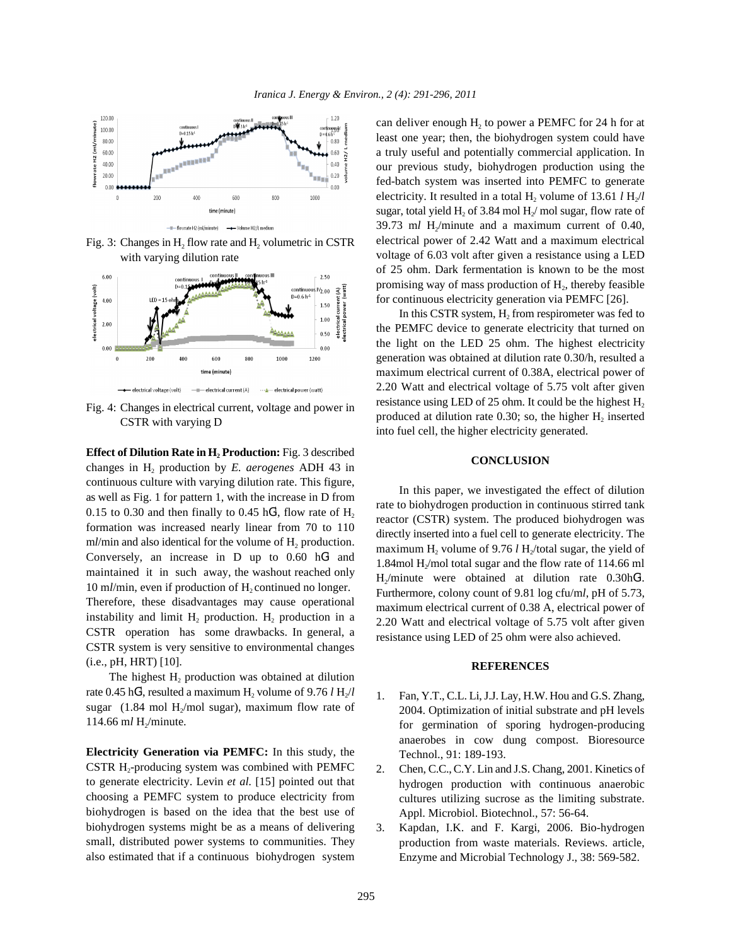

Fig. 3: Changes in  $H_2$  flow rate and  $H_2$  volumetric in CSTR with varying dilution rate



Fig. 4: Changes in electrical current, voltage and power in CSTR with varying D

**Effect of Dilution Rate in H<sup>2</sup> Production:** Fig. 3 described changes in H<sub>2</sub> production by *E. aerogenes* ADH 43 in continuous culture with varying dilution rate. This figure, as well as Fig. 1 for pattern 1, with the increase in D from 0.15 to 0.30 and then finally to 0.45  $hG<sup>1</sup>$ , flow rate of  $H<sub>2</sub>$ formation was increased nearly linear from 70 to 110 m*l*/min and also identical for the volume of H<sub>2</sub> production. Conversely, an increase in  $D$  up to 0.60  $hG<sup>1</sup>$  and maintained it in such away, the washout reached only 10 ml/min, even if production of H<sub>2</sub> continued no longer. Therefore, these disadvantages may cause operational instability and limit  $H_2$  production.  $H_2$  production in a CSTR operation has some drawbacks. In general, a CSTR system is very sensitive to environmental changes (i.e., pH, HRT) [10].

The highest  $H_2$  production was obtained at dilution rate  $0.45 \text{ hG}^1$ , resulted a maximum  $\text{H}_2$  volume of  $9.76 \text{ lH}_2/\text{l}$ sugar (1.84 mol H<sub>2</sub>/mol sugar), maximum flow rate of 114.66 ml H<sub>2</sub>/minute.

**Electricity Generation via PEMFC:** In this study, the CSTR H<sub>2</sub>-producing system was combined with PEMFC to generate electricity. Levin *et al.* [15] pointed out that choosing a PEMFC system to produce electricity from biohydrogen is based on the idea that the best use of biohydrogen systems might be as a means of delivering small, distributed power systems to communities. They also estimated that if a continuous biohydrogen system

can deliver enough  $H_2$  to power a PEMFC for 24 h for at least one year; then, the biohydrogen system could have a truly useful and potentially commercial application. In our previous study, biohydrogen production using the fed-batch system was inserted into PEMFC to generate electricity. It resulted in a total  $H_2$  volume of 13.61  $l H_2/l$ sugar, total yield H, of 3.84 mol H $/$  mol sugar, flow rate of  $39.73$  ml H<sub>2</sub>/minute and a maximum current of 0.40, electrical power of 2.42 Watt and a maximum electrical voltage of 6.03 volt after given a resistance using a LED of 25 ohm. Dark fermentation is known to be the most promising way of mass production of  $H<sub>2</sub>$ , thereby feasible for continuous electricity generation via PEMFC [26].

In this CSTR system,  $H_2$  from respirometer was fed to the PEMFC device to generate electricity that turned on the light on the LED 25 ohm. The highest electricity generation was obtained at dilution rate 0.30/h, resulted a maximum electrical current of 0.38A, electrical power of 2.20 Watt and electrical voltage of 5.75 volt after given resistance using LED of 25 ohm. It could be the highest  $H_2$ produced at dilution rate 0.30; so, the higher  $H_2$  inserted into fuel cell, the higher electricity generated.

## **CONCLUSION**

In this paper, we investigated the effect of dilution rate to biohydrogen production in continuous stirred tank reactor (CSTR) system. The produced biohydrogen was directly inserted into a fuel cell to generate electricity. The maximum H<sub>2</sub> volume of 9.76  $l$  H<sub>2</sub>/total sugar, the yield of 1.84mol H $/mol$  total sugar and the flow rate of 114.66 ml  $H_2/m$ inute were obtained at dilution rate 0.30h $G^1$ . Furthermore, colony count of 9.81 log cfu/m*l*, pH of 5.73, maximum electrical current of 0.38 A, electrical power of 2.20 Watt and electrical voltage of 5.75 volt after given resistance using LED of 25 ohm were also achieved.

### **REFERENCES**

- 1. Fan, Y.T., C.L. Li, J.J. Lay, H.W. Hou and G.S. Zhang, 2004. Optimization of initial substrate and pH levels for germination of sporing hydrogen-producing anaerobes in cow dung compost. Bioresource Technol., 91: 189-193.
- 2. Chen, C.C., C.Y. Lin and J.S. Chang, 2001. Kinetics of hydrogen production with continuous anaerobic cultures utilizing sucrose as the limiting substrate. Appl. Microbiol. Biotechnol., 57: 56-64.
- 3. Kapdan, I.K. and F. Kargi, 2006. Bio-hydrogen production from waste materials. Reviews. article, Enzyme and Microbial Technology J., 38: 569-582.